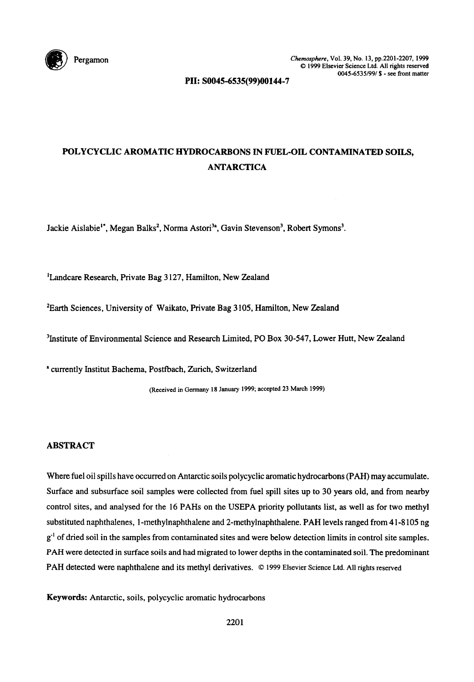

PII: S0045-6535(99)00144-7

# POLYCYCLIC AROMATIC HYDROCARBONS IN FUEL-OIL CONTAMINATED SOILS, ANTARCTICA

Jackie Aislabie<sup>1\*</sup>, Megan Balks<sup>2</sup>, Norma Astori<sup>3a</sup>, Gavin Stevenson<sup>3</sup>, Robert Symons<sup>3</sup>.

<sup>1</sup>Landcare Research, Private Bag 3127, Hamilton, New Zealand

<sup>2</sup>Earth Sciences, University of Waikato, Private Bag 3105, Hamilton, New Zealand

<sup>3</sup>Institute of Environmental Science and Research Limited, PO Box 30-547, Lower Hutt, New Zealand

**'** currently Institut Bachema, Postfbach, Zurich, Switzerland

(Received in Germany 18 January 1999; accepted 23 March 1999)

# ABSTRACT

Where fuel oil spills have occurred on Antarctic soils polycyclic aromatic hydrocarbons (PAH) may accumulate. Surface and subsurface soil samples were collected from fuel spill sites up to 30 years old, and from nearby control sites, and analysed for the 16 PAHs on the USEPA priority pollutants list, as well as for two methyl substituted naphthalenes, 1-methylnaphthalene and 2-methylnaphthalene. PAH levels ranged from 41-8105 ng  $g<sup>-1</sup>$  of dried soil in the samples from contaminated sites and were below detection limits in control site samples. *PAH* were detected in surface soils and had migrated to lower depths in the contaminated soil. The predominant PAH detected were naphthalene and its methyl derivatives. © 1999 Elsevier Science Ltd. All rights reserved

Keywords: Antarctic, soils, polycyclic aromatic hydrocarbons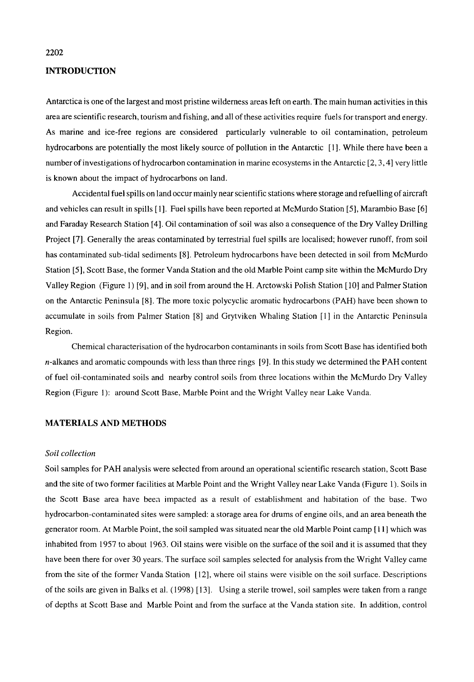## INTRODUCTION

Antarctica is one of the largest and most pristine wilderness areas left on earth. The main human activities in this area are scientific research, tourism and fishing, and all of these activities require fuels for transport and energy. As marine and ice-free regions are considered particularly vulnerable to oil contamination, petroleum hydrocarbons are potentially the most likely source of pollution in the Antarctic [1]. While there have been a number of investigations of hydrocarbon contamination in marine ecosystems in the Antarctic [2, 3, 4] very little is known about the impact of hydrocarbons on land.

Accidental fuel spills on land occur mainly near scientific stations where storage and refuelling of aircraft and vehicles can result in spills [1]. Fuel spills have been reported at McMurdo Station [5], Marambio Base [6] and Faraday Research Station [4]. Oil contamination of soil was also a consequence of the Dry Valley Drilling Project [7]. Generally the areas contaminated by terrestrial fuel spills are localised; however runoff, from soil has contaminated sub-tidal sediments [8]. Petroleum hydrocarbons have been detected in soil from McMurdo Station [5], Scott Base, the former Vanda Station and the old Marble Point camp site within the McMurdo Dry Valley Region (Figure 1) [9], and in soil from around the H. Arctowski Polish Station [ 10] and Palmer Station on the Antarctic Peninsula [8]. The more toxic polycyclic aromatic hydrocarbons (PAH) have been shown to accumulate in soils from Palmer Station [8] and Grytviken Whaling Station [1] in the Antarctic Peninsula Region.

Chemical characterisation of the hydrocarbon contaminants in soils from Scott Base has identified both n-alkanes and aromatic compounds with less than three rings [9]. In this study we determined the PAH content of fuel oil-contaminated soils and nearby control soils from three locations within the McMurdo Dry Valley Region (Figure 1): around Scott Base, Marble Point and the Wright Valley near Lake Vanda.

#### MATERIALS AND METHODS

#### *Soil collection*

Soil samples for PAH analysis were selected from around an operational scientific research station, Scott Base and the site of two former facilities at Marble Point and the Wright Valley near Lake Vanda (Figure 1). Soils in the Scott Base area have beea impacted as a result of establishment and habitation of the base. Two hydrocarbon-contaminated sites were sampled: a storage area for drums of engine oils, and an area beneath the generator room. At Marble Point, the soil sampled was situated near the old Marble Point camp [ 11 ] which was inhabited from 1957 to about 1963. Oil stains were visible on the surface of the soil and it is assumed that they have been there for over 30 years. The surface soil samples selected for analysis from the Wright Valley came from the site of the former Vanda Station [12], where oil stains were visible on the soil surface. Descriptions of the soils are given in Balks et al. (1998) [13]. Using a sterile trowel, soil samples were taken from a range of depths at Scott Base and Marble Point and from the surface at the Vanda station site. In addition, control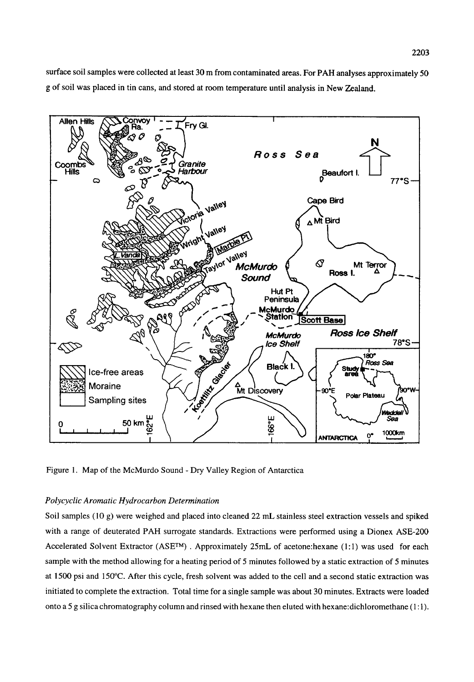surface soil samples were collected at least 30 m from contaminated areas. For PAH analyses approximately 50 g of soil was placed in tin cans, and stored at room temperature until analysis in New Zealand.



Figure 1. Map of the McMurdo Sound - Dry Valley Region of Antarctica

## *Polycyclic Aromatic Hydrocarbon Determination*

Soil samples (10 g) were weighed and placed into cleaned 22 mL stainless steel extraction vessels and spiked with a range of deuterated PAH surrogate standards. Extractions were performed using a Dionex ASE-200 Accelerated Solvent Extractor ( $ASE^{TM}$ ). Approximately 25mL of acetone:hexane (1:1) was used for each sample with the method allowing for a heating period of 5 minutes followed by a static extraction of 5 minutes at 1500 psi and 150°C. After this cycle, fresh solvent was added to the cell and a second static extraction was initiated to complete the extraction. Total time for a single sample was about 30 minutes. Extracts were loaded onto a 5 g silica chromatography column and rinsed with hexane then eluted with hexane:dichloromethane (1:1).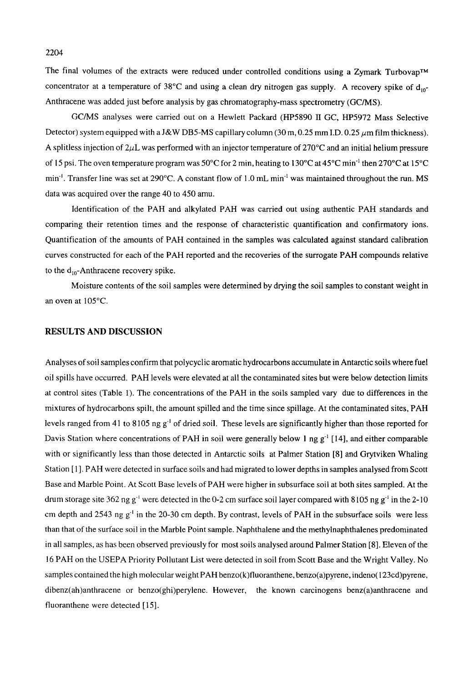The final volumes of the extracts were reduced under controlled conditions using a Zymark Turbovap<sup>TM</sup> concentrator at a temperature of 38 $^{\circ}$ C and using a clean dry nitrogen gas supply. A recovery spike of d<sub>10</sub>-Anthracene was added just before analysis by gas chromatography-mass spectrometry (GC/MS).

GC/MS analyses were carried out on a Hewlett Packard (HP5890 1I GC, HP5972 Mass Selective Detector) system equipped with a J&W DB5-MS capillary column (30 m, 0.25 mm I.D. 0.25  $\mu$ m film thickness). A splitless injection of  $2\mu L$  was performed with an injector temperature of 270°C and an initial helium pressure of 15 psi. The oven temperature program was 50 $^{\circ}$ C for 2 min, heating to 130 $^{\circ}$ C at 45 $^{\circ}$ C min<sup>-1</sup> then 270 $^{\circ}$ C at 15 $^{\circ}$ C min<sup>-1</sup>. Transfer line was set at 290°C. A constant flow of 1.0 mL min<sup>-1</sup> was maintained throughout the run. MS data was acquired over the range 40 to 450 amu.

Identification of the PAH and alkylated PAH was carried out using authentic PAH standards and comparing their retention times and the response of characteristic quantification and confirmatory ions. Quantification of the amounts of PAH contained in the samples was calculated against standard calibration curves constructed for each of the PAH reported and the recoveries of the surrogate PAH compounds relative to the  $d_{10}$ -Anthracene recovery spike.

Moisture contents of the soil samples were determined by drying the soil samples to constant weight in an oven at 105°C.

## RESULTS AND DISCUSSION

Analyses of soil samples confirm that polycyclic aromatic hydrocarbons accumulate in Antarctic soils where fuel oil spills have occurred. PAH levels were elevated at all the contaminated sites but were below detection limits at control sites (Table 1). The concentrations of the PAH in the soils sampled vary due to differences in the mixtures of hydrocarbons spilt, the amount spilled and the time since spillage. At the contaminated sites, PAH levels ranged from 41 to 8105 ng  $g<sup>-1</sup>$  of dried soil. These levels are significantly higher than those reported for Davis Station where concentrations of PAH in soil were generally below 1 ng  $g^{-1}$  [14], and either comparable with or significantly less than those detected in Antarctic soils at Palmer Station [8] and Grytviken Whaling Station [1]. PAH were detected in surface soils and had migrated to lower depths in samples analysed from Scott Base and Marble Point. At Scott Base levels of PAH were higher in subsurface soil at both sites sampled. At the drum storage site 362 ng g<sup>-1</sup> were detected in the 0-2 cm surface soil layer compared with 8105 ng g<sup>-1</sup> in the 2-10 cm depth and 2543 ng  $g^{-1}$  in the 20-30 cm depth. By contrast, levels of PAH in the subsurface soils were less than that of the surface soil in the Marble Point sample. Naphthalene and the methylnaphthalenes predominated in all samples, as has been observed previously for most soils analysed around Palmer Station [8]. Eleven of the 16 PAH on the USEPA Priority Pollutant List were detected in soil from Scott Base and the Wright Valley. No samples contained the high molecular weight PAH benzo(k)fluoranthene, benzo(a)pyrene, indeno(123cd)pyrene, dibenz(ah)anthracene or benzo(ghi)perylene. However, the known carcinogens benz(a)anthracene and fluoranthene were detected [ 15].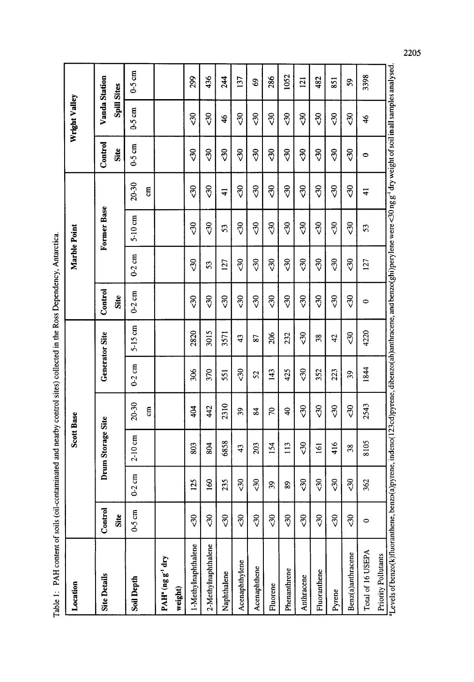| Location                                                                                                                                                                                   |             |             | <b>Scott Base</b> |                         |            |                       |                 | Marble Point    |                 |                 |                | Wright Valley  |          |
|--------------------------------------------------------------------------------------------------------------------------------------------------------------------------------------------|-------------|-------------|-------------------|-------------------------|------------|-----------------------|-----------------|-----------------|-----------------|-----------------|----------------|----------------|----------|
| <b>Site Details</b>                                                                                                                                                                        | Control     |             | Drum Storage Site |                         |            | <b>Generator Site</b> | Control         |                 | Former Base     |                 | Control        | Vanda Station  |          |
|                                                                                                                                                                                            | Site        |             |                   |                         |            |                       | Site            |                 |                 |                 | Site           | Spill Sites    |          |
| <b>Soil Depth</b>                                                                                                                                                                          | $0-5$ cm    | $0-2$ cm    | $2-10$ cm         | $20 - 30$               | $0-2$ cm   | $5-15$ cm             | $0-2$ cm        | $0-2$ cm        | $5-10$ cm       | $20 - 30$       | 0.5cm          | 0.5 cm         | $0-5$ cm |
|                                                                                                                                                                                            |             |             |                   | g                       |            |                       |                 |                 |                 | $\overline{5}$  |                |                |          |
| PAH <sup>*</sup> (ng g <sup>-1</sup> dry                                                                                                                                                   |             |             |                   |                         |            |                       |                 |                 |                 |                 |                |                |          |
| weight)                                                                                                                                                                                    |             |             |                   |                         |            |                       |                 |                 |                 |                 |                |                |          |
| 1-Methylnaphthalene                                                                                                                                                                        | ನೆ          | 125         | 803               | 404                     | 306        | 2820                  | $\sqrt{3}$      | $\sqrt{3}$      | $\delta$        | 50              | $\sqrt{3}$     | $\sqrt{3}$     | 299      |
| 2-Methylnaphthalene                                                                                                                                                                        | 30          | <b>SQ</b>   | 804               | 42                      | 370        | 3015                  | 30              | S               | ನೆ              | $\sqrt{3}$      | $\sqrt{3}$     | $\overline{3}$ | 436      |
| Naphthalene                                                                                                                                                                                | $\sqrt{3}$  | 235         | 6858              | 2310                    | 551        | 3571                  | $\overline{30}$ | 127             | 53              | $\frac{1}{4}$   | $\overline{3}$ | $\frac{4}{6}$  | 244      |
| Acenaphthylene                                                                                                                                                                             | 30          | నే          | 43                | 39                      | 2          | 43                    | $\overline{30}$ | $\sqrt{3}$      | $\overline{30}$ | $\sqrt{3}$      | $\sqrt{3}$     | $\sqrt{3}$     | 137      |
| Acenaphthene                                                                                                                                                                               | $\sqrt{30}$ | $\sqrt{30}$ | 203               | $\overline{\mathbf{3}}$ | 52         | 87                    | 5               | $\sqrt{3}$      | 5               | ನೆ              | ನೆ             | ನೆ             | \$       |
| Fluorene                                                                                                                                                                                   | $\sqrt{3}$  | 39          | 154               | 20                      | 143        | 206                   | $\sqrt{3}$      | $\frac{30}{5}$  | $\sqrt{3}$      | 30              | ನೆ             | ನೆ             | 286      |
| Phenanthrene                                                                                                                                                                               | $\sqrt{6}$  | 89          | 113               | $\overline{a}$          | 425        | 232                   | 30              | 30              | 30              | $\sqrt{3}$      | 30             | 30             | 1052     |
| Anthracene                                                                                                                                                                                 | $\sqrt{3}$  | $\sqrt{3}$  | $\sqrt{30}$       | $\overline{30}$         | $\sqrt{3}$ | $\sqrt{3}$            | ನೆ              | $\sqrt{30}$     | $\sqrt{3}$      | 30              | ನೆ             | ನೆ             | 121      |
| Fluoranthene                                                                                                                                                                               | $\sqrt{30}$ | $\sqrt{30}$ | 161               | $\overline{30}$         | 352        | 38                    | $\overline{30}$ | $\overline{3}$  | $\overline{3}0$ | $\overline{3}0$ | ನೆ             | $\frac{8}{3}$  | 482      |
| Pyrene                                                                                                                                                                                     | $\sqrt{3}$  | ನೆ          | 416               | $\overline{30}$         | 223        | $\overline{4}$        | $\overline{30}$ | $\overline{30}$ | $\overline{30}$ | $\sqrt{30}$     | $\sqrt{3}$     | $\frac{30}{5}$ | 851      |
| Benz(a)anthracene                                                                                                                                                                          | $\sqrt{3}$  | $\sqrt{30}$ | 38                | $\overline{30}$         | 39         | $\sqrt{3}$            | $\overline{30}$ | 5               | $\overline{30}$ | 30              | ನೆ             | ನೆ             | S,       |
| Total of 16 USEPA                                                                                                                                                                          | $\circ$     | 362         | 8105              | 2543                    | 1844       | 4220                  | 0               | 127             | 53              | ╤               | 0              | 46             | 3398     |
| Priority Pollutants                                                                                                                                                                        |             |             |                   |                         |            |                       |                 |                 |                 |                 |                |                |          |
| "Levels of benzo(k)fluoranthene, benzo(a)pyrene, indeno(123cd)pyrene, dibenzo(ah)anthracene, and benzo(ghi)perylene were <30 ng g <sup>-1</sup> dry weight of soil in all samples analysed |             |             |                   |                         |            |                       |                 |                 |                 |                 |                |                |          |

Table 1: PAH content of soils (oil-contaminated and nearby control sites) collected in the Ross Dependency, Antarctica. Table 1: PAH content of soils (oil-contaminated and nearby control sites) collected in the Ross Dependency, Antarctica. 2205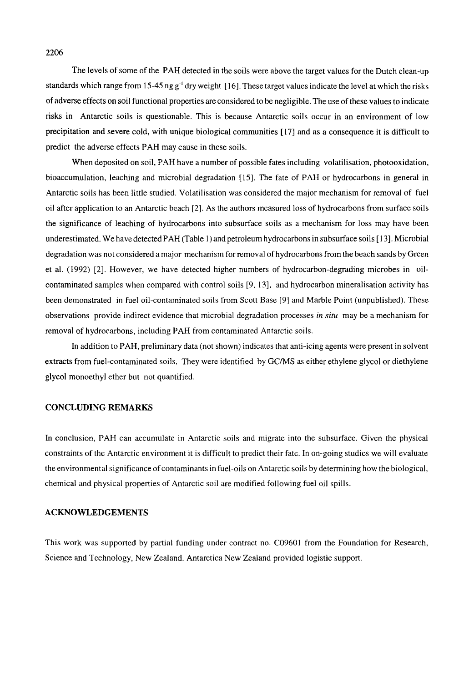The levels of some of the PAH detected in the soils were above the target values for the Dutch clean-up standards which range from 15-45 ng g<sup>-1</sup> dry weight [16]. These target values indicate the level at which the risks of adverse effects on soil functional properties are considered to be negligible. The use of these values to indicate risks in Antarctic soils is questionable. This is because Antarctic soils occur in an environment of low precipitation and severe cold, with unique biological communities [ 17] and as a consequence it is difficult to predict the adverse effects PAH may cause in these soils.

When deposited on soil, PAH have a number of possible fates including volatilisation, photooxidation, bioaccumulation, leaching and microbial degradation [15]. The fate of PAH or hydrocarbons in general in Antarctic soils has been little studied, Volatilisation was considered the major mechanism for removal of fuel oil after application to an Antarctic beach [2]. As the authors measured loss of hydrocarbons from surface soils the significance of leaching of hydrocarbons into subsurface soils as a mechanism for loss may have been underestimated. We have detected PAH (Table 1) and petroleum hydrocarbons in subsurface soils [ 13]. Microbial degradation was not considered a major mechanism for removal of hydrocarbons from the beach sands by Green et al. (1992) [2]. However, we have detected higher numbers of hydrocarbon-degrading microbes in oilcontaminated samples when compared with control soils [9, 13], and hydrocarbon mineralisation activity has been demonstrated in fuel oil-contaminated soils from Scott Base [9] and Marble Point (unpublished). These observations provide indirect evidence that microbial degradation processes *in situ* may be a mechanism for removal of hydrocarbons, including PAH from contaminated Antarctic soils.

In addition to PAH, preliminary data (not shown) indicates that anti-icing agents were present in solvent extracts from fuel-contaminated soils. They were identified by GC/MS as either ethylene glycol or diethylene glycol monoethyl ether but not quantified.

#### CONCLUDING REMARKS

In conclusion, PAH can accumulate in Antarctic soils and migrate into the subsurface. Given the physical constraints of the Antarctic environment it is difficult to predict their fate. In on-going studies we will evaluate the environmental significance of contaminants in fuel-oils on Antarctic soils by determining how the biological, chemical and physical properties of Antarctic soil are modified following fuel oil spills.

# ACKNOWLEDGEMENTS

This work was supported by partial funding under contract no. C09601 from the Foundation for Research, Science and Technology, New Zealand. Antarctica New Zealand provided logistic support.